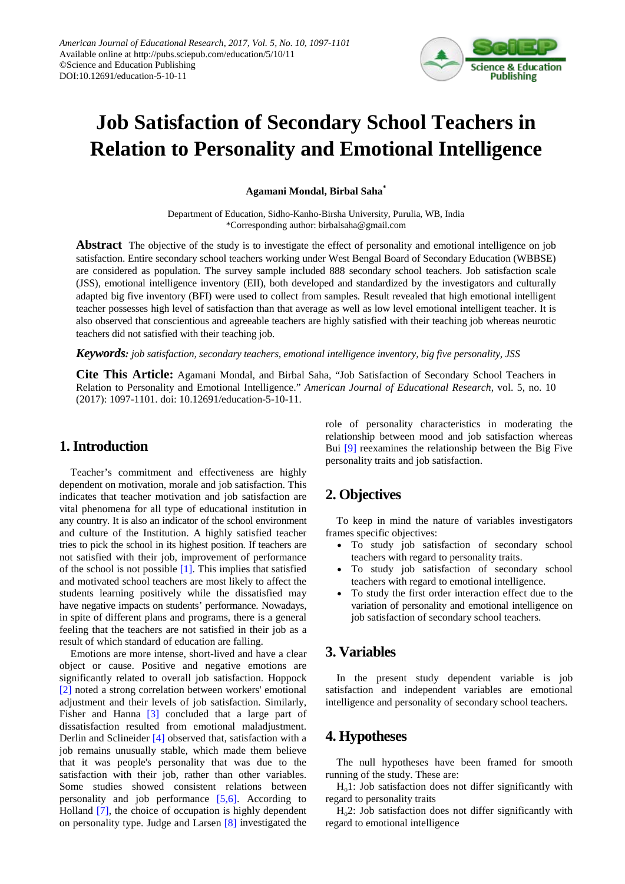

# **Job Satisfaction of Secondary School Teachers in Relation to Personality and Emotional Intelligence**

**Agamani Mondal, Birbal Saha\***

Department of Education, Sidho-Kanho-Birsha University, Purulia, WB, India \*Corresponding author: birbalsaha@gmail.com

**Abstract** The objective of the study is to investigate the effect of personality and emotional intelligence on job satisfaction. Entire secondary school teachers working under West Bengal Board of Secondary Education (WBBSE) are considered as population. The survey sample included 888 secondary school teachers. Job satisfaction scale (JSS), emotional intelligence inventory (EII), both developed and standardized by the investigators and culturally adapted big five inventory (BFI) were used to collect from samples. Result revealed that high emotional intelligent teacher possesses high level of satisfaction than that average as well as low level emotional intelligent teacher. It is also observed that conscientious and agreeable teachers are highly satisfied with their teaching job whereas neurotic teachers did not satisfied with their teaching job.

*Keywords: job satisfaction, secondary teachers, emotional intelligence inventory, big five personality, JSS*

**Cite This Article:** Agamani Mondal, and Birbal Saha, "Job Satisfaction of Secondary School Teachers in Relation to Personality and Emotional Intelligence." *American Journal of Educational Research*, vol. 5, no. 10 (2017): 1097-1101. doi: 10.12691/education-5-10-11.

## **1. Introduction**

Teacher's commitment and effectiveness are highly dependent on motivation, morale and job satisfaction. This indicates that teacher motivation and job satisfaction are vital phenomena for all type of educational institution in any country. It is also an indicator of the school environment and culture of the Institution. A highly satisfied teacher tries to pick the school in its highest position. If teachers are not satisfied with their job, improvement of performance of the school is not possible [\[1\].](#page-3-0) This implies that satisfied and motivated school teachers are most likely to affect the students learning positively while the dissatisfied may have negative impacts on students' performance. Nowadays, in spite of different plans and programs, there is a general feeling that the teachers are not satisfied in their job as a result of which standard of education are falling.

Emotions are more intense, short-lived and have a clear object or cause. Positive and negative emotions are significantly related to overall job satisfaction. Hoppock [\[2\]](#page-3-1) noted a strong correlation between workers' emotional adjustment and their levels of job satisfaction. Similarly, Fisher and Hanna [\[3\]](#page-3-2) concluded that a large part of dissatisfaction resulted from emotional maladjustment. Derlin and Sclineider [\[4\]](#page-4-0) observed that, satisfaction with a job remains unusually stable, which made them believe that it was people's personality that was due to the satisfaction with their job, rather than other variables. Some studies showed consistent relations between personality and job performance [\[5,6\].](#page-4-1) According to Holland [\[7\],](#page-4-2) the choice of occupation is highly dependent on personality type. Judge and Larsen [\[8\]](#page-4-3) investigated the

role of personality characteristics in moderating the relationship between mood and job satisfaction whereas Bui [\[9\]](#page-4-4) reexamines the relationship between the Big Five personality traits and job satisfaction.

# **2. Objectives**

To keep in mind the nature of variables investigators frames specific objectives:

- To study job satisfaction of secondary school teachers with regard to personality traits.
- To study job satisfaction of secondary school teachers with regard to emotional intelligence.
- To study the first order interaction effect due to the variation of personality and emotional intelligence on job satisfaction of secondary school teachers.

# **3. Variables**

In the present study dependent variable is job satisfaction and independent variables are emotional intelligence and personality of secondary school teachers.

## **4. Hypotheses**

The null hypotheses have been framed for smooth running of the study. These are:

Ho1: Job satisfaction does not differ significantly with regard to personality traits

 $H<sub>o</sub>2$ : Job satisfaction does not differ significantly with regard to emotional intelligence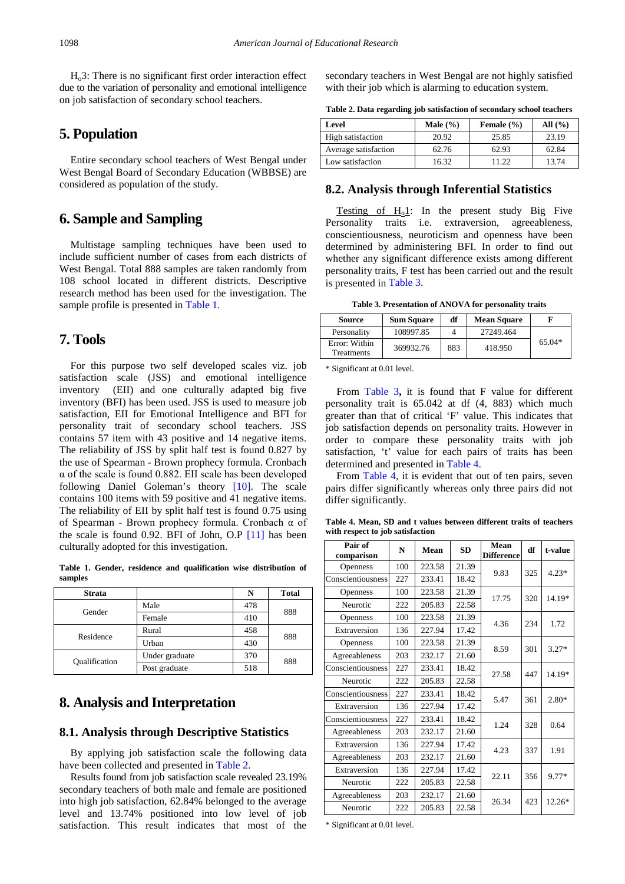$H<sub>o</sub>3$ : There is no significant first order interaction effect due to the variation of personality and emotional intelligence on job satisfaction of secondary school teachers.

## **5. Population**

Entire secondary school teachers of West Bengal under West Bengal Board of Secondary Education (WBBSE) are considered as population of the study.

## **6. Sample and Sampling**

Multistage sampling techniques have been used to include sufficient number of cases from each districts of West Bengal. Total 888 samples are taken randomly from 108 school located in different districts. Descriptive research method has been used for the investigation. The sample profile is presented in [Table 1.](#page-1-0)

## **7. Tools**

For this purpose two self developed scales viz. job satisfaction scale (JSS) and emotional intelligence inventory (EII) and one culturally adapted big five inventory (BFI) has been used. JSS is used to measure job satisfaction, EII for Emotional Intelligence and BFI for personality trait of secondary school teachers. JSS contains 57 item with 43 positive and 14 negative items. The reliability of JSS by split half test is found 0.827 by the use of Spearman - Brown prophecy formula. Cronbach α of the scale is found 0.882. EII scale has been developed following Daniel Goleman's theory [\[10\].](#page-4-5) The scale contains 100 items with 59 positive and 41 negative items. The reliability of EII by split half test is found 0.75 using of Spearman - Brown prophecy formula. Cronbach α of the scale is found 0.92. BFI of John, O.P [\[11\]](#page-4-6) has been culturally adopted for this investigation.

**Table 1. Gender, residence and qualification wise distribution of samples**

<span id="page-1-0"></span>

| <b>Strata</b> |                | N   | <b>Total</b> |  |
|---------------|----------------|-----|--------------|--|
| Gender        | Male           | 478 | 888          |  |
|               | Female         | 410 |              |  |
| Residence     | Rural          | 458 | 888          |  |
|               | Urban          | 430 |              |  |
| Qualification | Under graduate | 370 | 888          |  |
|               | Post graduate  | 518 |              |  |

## **8. Analysis and Interpretation**

#### **8.1. Analysis through Descriptive Statistics**

By applying job satisfaction scale the following data have been collected and presented in [Table 2.](#page-1-1) 

Results found from job satisfaction scale revealed 23.19% secondary teachers of both male and female are positioned into high job satisfaction, 62.84% belonged to the average level and 13.74% positioned into low level of job satisfaction. This result indicates that most of the secondary teachers in West Bengal are not highly satisfied with their job which is alarming to education system.

|  |  | Table 2. Data regarding job satisfaction of secondary school teachers |  |  |
|--|--|-----------------------------------------------------------------------|--|--|

<span id="page-1-1"></span>

| Level                | Male $(\% )$ | Female $(\% )$ | All $(\% )$ |  |
|----------------------|--------------|----------------|-------------|--|
| High satisfaction    | 20.92        | 25.85          | 23.19       |  |
| Average satisfaction | 62.76        | 62.93          | 62.84       |  |
| Low satisfaction     | 16.32        | 11 22          | 13.74       |  |

#### **8.2. Analysis through Inferential Statistics**

Testing of  $H_0 \mathbf{1}$ : In the present study Big Five Personality traits i.e. extraversion, agreeableness, conscientiousness, neuroticism and openness have been determined by administering BFI. In order to find out whether any significant difference exists among different personality traits, F test has been carried out and the result is presented in [Table 3.](#page-1-2)

**Table 3. Presentation of ANOVA for personality traits**

<span id="page-1-2"></span>

| Source                             | <b>Sum Square</b> | df  | <b>Mean Square</b> |          |
|------------------------------------|-------------------|-----|--------------------|----------|
| Personality                        | 108997.85         |     | 27249.464          |          |
| Error: Within<br><b>Treatments</b> | 369932.76         | 883 | 418.950            | $65.04*$ |

\* Significant at 0.01 level.

From [Table 3](#page-1-2)**,** it is found that F value for different personality trait is 65.042 at df (4, 883) which much greater than that of critical 'F' value. This indicates that job satisfaction depends on personality traits. However in order to compare these personality traits with job satisfaction, 't' value for each pairs of traits has been determined and presented i[n Table 4.](#page-1-3)

From [Table 4,](#page-1-3) it is evident that out of ten pairs, seven pairs differ significantly whereas only three pairs did not differ significantly.

**Table 4. Mean, SD and t values between different traits of teachers with respect to job satisfaction**

<span id="page-1-3"></span>

| Pair of<br>comparison | N   | Mean   | <b>SD</b> | Mean<br><b>Difference</b> | df  | t-value |
|-----------------------|-----|--------|-----------|---------------------------|-----|---------|
| <b>Openness</b>       | 100 | 223.58 | 21.39     | 9.83                      | 325 | $4.23*$ |
| Conscientiousness     | 227 | 233.41 | 18.42     |                           |     |         |
| <b>Openness</b>       | 100 | 223.58 | 21.39     |                           |     |         |
| Neurotic              | 222 | 205.83 | 22.58     | 17.75                     | 320 | 14.19*  |
| Openness              | 100 | 223.58 | 21.39     | 4.36                      | 234 | 1.72    |
| Extraversion          | 136 | 227.94 | 17.42     |                           |     |         |
| <b>Openness</b>       | 100 | 223.58 | 21.39     | 8.59                      |     |         |
| Agreeableness         | 203 | 232.17 | 21.60     |                           | 301 | $3.27*$ |
| Conscientiousness     | 227 | 233.41 | 18.42     | 27.58                     | 447 | 14.19*  |
| Neurotic              | 222 | 205.83 | 22.58     |                           |     |         |
| Conscientiousness     | 227 | 233.41 | 18.42     | 5.47                      | 361 | $2.80*$ |
| Extraversion          | 136 | 227.94 | 17.42     |                           |     |         |
| Conscientiousness     | 227 | 233.41 | 18.42     | 1.24                      | 328 | 0.64    |
| Agreeableness         | 203 | 232.17 | 21.60     |                           |     |         |
| Extraversion          | 136 | 227.94 | 17.42     | 4.23                      |     | 1.91    |
| Agreeableness         | 203 | 232.17 | 21.60     |                           | 337 |         |
| Extraversion          | 136 | 227.94 | 17.42     | 22.11                     |     | 9.77*   |
| Neurotic              | 222 | 205.83 | 22.58     |                           | 356 |         |
| Agreeableness         | 203 | 232.17 | 21.60     | 26.34                     | 423 | 12.26*  |
| Neurotic              | 222 | 205.83 | 22.58     |                           |     |         |

\* Significant at 0.01 level.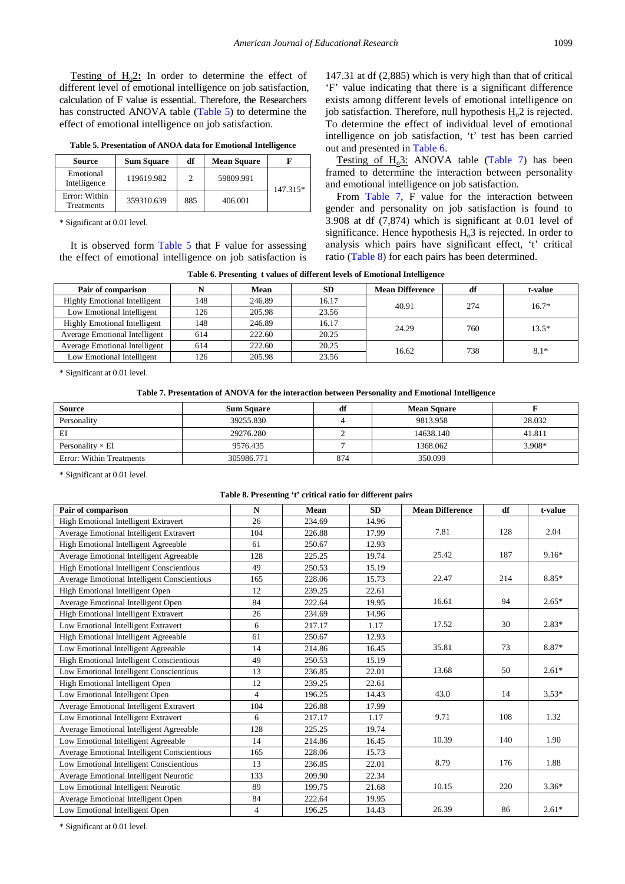Testing of  $H_0 \text{2:}$  In order to determine the effect of different level of emotional intelligence on job satisfaction, calculation of F value is essential. Therefore, the Researchers has constructed ANOVA table [\(Table 5\)](#page-2-0) to determine the effect of emotional intelligence on job satisfaction.

**Table 5. Presentation of ANOA data for Emotional Intelligence**

<span id="page-2-0"></span>

| Source                             | <b>Sum Square</b> | df  | <b>Mean Square</b> |          |
|------------------------------------|-------------------|-----|--------------------|----------|
| Emotional<br>Intelligence          | 119619.982        | 2   | 59809.991          | 147.315* |
| Error: Within<br><b>Treatments</b> | 359310.639        | 885 | 406.001            |          |

\* Significant at 0.01 level.

It is observed form [Table 5](#page-2-0) that F value for assessing the effect of emotional intelligence on job satisfaction is 147.31 at df (2,885) which is very high than that of critical 'F' value indicating that there is a significant difference exists among different levels of emotional intelligence on job satisfaction. Therefore, null hypothesis  $H_0^2$  is rejected. To determine the effect of individual level of emotional intelligence on job satisfaction, 't' test has been carried out and presented in [Table 6.](#page-2-1)

Testing of  $H_0$ 3: ANOVA table [\(Table 7\)](#page-2-2) has been framed to determine the interaction between personality and emotional intelligence on job satisfaction.

From [Table 7,](#page-2-2) F value for the interaction between gender and personality on job satisfaction is found to 3.908 at df (7,874) which is significant at 0.01 level of significance. Hence hypothesis  $H_0$ 3 is rejected. In order to analysis which pairs have significant effect, 't' critical ratio [\(Table 8\)](#page-2-3) for each pairs has been determined.

**Table 6. Presenting t values of different levels of Emotional Intelligence**

<span id="page-2-1"></span>

|     | Mean   | <b>SD</b> | <b>Mean Difference</b> | df                      | t-value           |
|-----|--------|-----------|------------------------|-------------------------|-------------------|
| 148 | 246.89 | 16.17     |                        |                         | $16.7*$           |
| 126 | 205.98 | 23.56     |                        |                         |                   |
| 148 | 246.89 | 16.17     |                        |                         | $13.5*$           |
| 614 | 222.60 | 20.25     |                        |                         |                   |
| 614 | 222.60 | 20.25     |                        |                         | $8.1*$            |
| 126 | 205.98 | 23.56     |                        |                         |                   |
|     |        |           |                        | 40.91<br>24.29<br>16.62 | 274<br>760<br>738 |

\* Significant at 0.01 level.

**Table 7. Presentation of ANOVA for the interaction between Personality and Emotional Intelligence**

<span id="page-2-2"></span>

| <b>Source</b>            | <b>Sum Square</b> | df  | <b>Mean Square</b> |        |
|--------------------------|-------------------|-----|--------------------|--------|
| Personality              | 39255.830         |     | 9813.958           | 28.032 |
| EI                       | 29276.280         |     | 14638.140          | 41.811 |
| Personality $\times$ EI  | 9576.435          |     | 1368.062           | 3.908* |
| Error: Within Treatments | 305986.771        | 874 | 350.099            |        |

\* Significant at 0.01 level.

#### **Table 8. Presenting 't' critical ratio for different pairs**

<span id="page-2-3"></span>

| Pair of comparison                              | $\mathbf N$    | Mean   | <b>SD</b> | <b>Mean Difference</b> | df  | t-value |
|-------------------------------------------------|----------------|--------|-----------|------------------------|-----|---------|
| High Emotional Intelligent Extravert            | 26             | 234.69 | 14.96     |                        |     |         |
| <b>Average Emotional Intelligent Extravert</b>  | 104            | 226.88 | 17.99     | 7.81                   | 128 | 2.04    |
| High Emotional Intelligent Agreeable            | 61             | 250.67 | 12.93     |                        |     |         |
| <b>Average Emotional Intelligent Agreeable</b>  | 128            | 225.25 | 19.74     | 25.42                  | 187 | $9.16*$ |
| <b>High Emotional Intelligent Conscientious</b> | 49             | 250.53 | 15.19     |                        |     |         |
| Average Emotional Intelligent Conscientious     | 165            | 228.06 | 15.73     | 22.47                  | 214 | 8.85*   |
| High Emotional Intelligent Open                 | 12             | 239.25 | 22.61     |                        |     |         |
| Average Emotional Intelligent Open              | 84             | 222.64 | 19.95     | 16.61                  | 94  | $2.65*$ |
| High Emotional Intelligent Extravert            | 26             | 234.69 | 14.96     |                        |     |         |
| Low Emotional Intelligent Extravert             | 6              | 217.17 | 1.17      | 17.52                  | 30  | $2.83*$ |
| High Emotional Intelligent Agreeable            | 61             | 250.67 | 12.93     |                        |     |         |
| Low Emotional Intelligent Agreeable             | 14             | 214.86 | 16.45     | 35.81                  | 73  | 8.87*   |
| High Emotional Intelligent Conscientious        | 49             | 250.53 | 15.19     |                        |     |         |
| Low Emotional Intelligent Conscientious         | 13             | 236.85 | 22.01     | 13.68                  | 50  | $2.61*$ |
| High Emotional Intelligent Open                 | 12             | 239.25 | 22.61     |                        |     |         |
| Low Emotional Intelligent Open                  | $\overline{4}$ | 196.25 | 14.43     | 43.0                   | 14  | $3.53*$ |
| <b>Average Emotional Intelligent Extravert</b>  | 104            | 226.88 | 17.99     |                        |     |         |
| Low Emotional Intelligent Extravert             | 6              | 217.17 | 1.17      | 9.71                   | 108 | 1.32    |
| Average Emotional Intelligent Agreeable         | 128            | 225.25 | 19.74     |                        |     |         |
| Low Emotional Intelligent Agreeable             | 14             | 214.86 | 16.45     | 10.39                  | 140 | 1.90    |
| Average Emotional Intelligent Conscientious     | 165            | 228.06 | 15.73     |                        |     |         |
| Low Emotional Intelligent Conscientious         | 13             | 236.85 | 22.01     | 8.79                   | 176 | 1.88    |
| <b>Average Emotional Intelligent Neurotic</b>   | 133            | 209.90 | 22.34     |                        |     |         |
| Low Emotional Intelligent Neurotic              | 89             | 199.75 | 21.68     | 10.15                  | 220 | $3.36*$ |
| Average Emotional Intelligent Open              | 84             | 222.64 | 19.95     |                        |     |         |
| Low Emotional Intelligent Open                  | $\overline{4}$ | 196.25 | 14.43     | 26.39                  | 86  | $2.61*$ |

\* Significant at 0.01 level.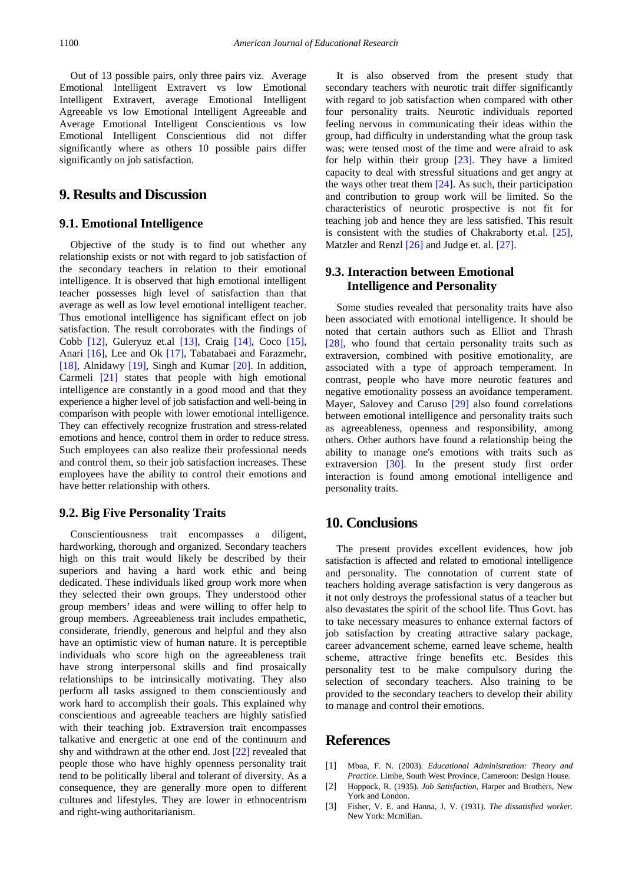Out of 13 possible pairs, only three pairs viz.Average Emotional Intelligent Extravert vs low Emotional Intelligent Extravert, average Emotional Intelligent Agreeable vs low Emotional Intelligent Agreeable and Average Emotional Intelligent Conscientious vs low Emotional Intelligent Conscientious did not differ significantly where as others 10 possible pairs differ significantly on job satisfaction.

## **9. Results and Discussion**

#### **9.1. Emotional Intelligence**

Objective of the study is to find out whether any relationship exists or not with regard to job satisfaction of the secondary teachers in relation to their emotional intelligence. It is observed that high emotional intelligent teacher possesses high level of satisfaction than that average as well as low level emotional intelligent teacher. Thus emotional intelligence has significant effect on job satisfaction. The result corroborates with the findings of Cobb [\[12\],](#page-4-7) Guleryuz et.al [\[13\],](#page-4-8) Craig [\[14\],](#page-4-9) Coco [\[15\],](#page-4-10) Anari [\[16\],](#page-4-11) Lee and Ok [\[17\],](#page-4-12) Tabatabaei and Farazmehr, [\[18\],](#page-4-13) Alnidawy [\[19\],](#page-4-14) Singh and Kumar [\[20\].](#page-4-15) In addition, Carmeli [\[21\]](#page-4-16) states that people with high emotional intelligence are constantly in a good mood and that they experience a higher level of job satisfaction and well-being in comparison with people with lower emotional intelligence. They can effectively recognize frustration and stress-related emotions and hence, control them in order to reduce stress. Such employees can also realize their professional needs and control them, so their job satisfaction increases. These employees have the ability to control their emotions and have better relationship with others.

#### **9.2. Big Five Personality Traits**

Conscientiousness trait encompasses a diligent, hardworking, thorough and organized. Secondary teachers high on this trait would likely be described by their superiors and having a hard work ethic and being dedicated. These individuals liked group work more when they selected their own groups. They understood other group members' ideas and were willing to offer help to group members. Agreeableness trait includes empathetic, considerate, friendly, generous and helpful and they also have an optimistic view of human nature. It is perceptible individuals who score high on the agreeableness trait have strong interpersonal skills and find prosaically relationships to be intrinsically motivating. They also perform all tasks assigned to them conscientiously and work hard to accomplish their goals. This explained why conscientious and agreeable teachers are highly satisfied with their teaching job. Extraversion trait encompasses talkative and energetic at one end of the continuum and shy and withdrawn at the other end. Jost [\[22\]](#page-4-17) revealed that people those who have highly openness personality trait tend to be politically liberal and tolerant of diversity. As a consequence, they are generally more open to different cultures and lifestyles. They are lower in ethnocentrism and right-wing authoritarianism.

It is also observed from the present study that secondary teachers with neurotic trait differ significantly with regard to job satisfaction when compared with other four personality traits. Neurotic individuals reported feeling nervous in communicating their ideas within the group, had difficulty in understanding what the group task was; were tensed most of the time and were afraid to ask for help within their group [\[23\].](#page-4-18) They have a limited capacity to deal with stressful situations and get angry at the ways other treat them [\[24\].](#page-4-19) As such, their participation and contribution to group work will be limited. So the characteristics of neurotic prospective is not fit for teaching job and hence they are less satisfied. This result is consistent with the studies of Chakraborty et.al. [\[25\],](#page-4-20) Matzler and Renz[l \[26\]](#page-4-21) and Judge et. al. [\[27\].](#page-4-22)

#### **9.3. Interaction between Emotional Intelligence and Personality**

Some studies revealed that personality traits have also been associated with emotional intelligence. It should be noted that certain authors such as Elliot and Thrash [\[28\],](#page-4-23) who found that certain personality traits such as extraversion, combined with positive emotionality, are associated with a type of approach temperament. In contrast, people who have more neurotic features and negative emotionality possess an avoidance temperament. Mayer, Salovey and Caruso [\[29\]](#page-4-24) also found correlations between emotional intelligence and personality traits such as agreeableness, openness and responsibility, among others. Other authors have found a relationship being the ability to manage one's emotions with traits such as extraversion [\[30\].](#page-4-25) In the present study first order interaction is found among emotional intelligence and personality traits.

## **10. Conclusions**

The present provides excellent evidences, how job satisfaction is affected and related to emotional intelligence and personality. The connotation of current state of teachers holding average satisfaction is very dangerous as it not only destroys the professional status of a teacher but also devastates the spirit of the school life. Thus Govt. has to take necessary measures to enhance external factors of job satisfaction by creating attractive salary package, career advancement scheme, earned leave scheme, health scheme, attractive fringe benefits etc. Besides this personality test to be make compulsory during the selection of secondary teachers. Also training to be provided to the secondary teachers to develop their ability to manage and control their emotions.

## **References**

- <span id="page-3-0"></span>[1] Mbua, F. N. (2003). *Educational Administration: Theory and Practice*. Limbe, South West Province, Cameroon: Design House.
- <span id="page-3-1"></span>[2] Hoppock, R. (1935). *Job Satisfaction,* Harper and Brothers, New York and London.
- <span id="page-3-2"></span>[3] Fisher, V. E. and Hanna, J. V. (1931). *The dissatisfied worker.*  New York: Mcmillan.